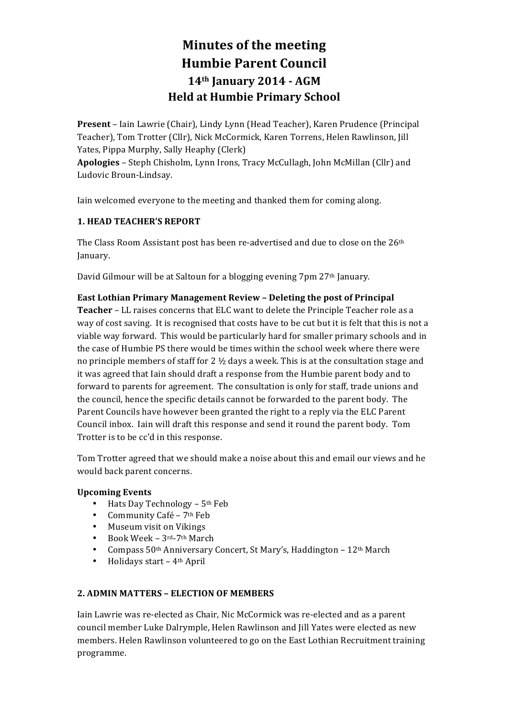# **Minutes of the meeting Humbie Parent Council 14th January 2014 - AGM Held at Humbie Primary School**

**Present** – Iain Lawrie (Chair), Lindy Lynn (Head Teacher), Karen Prudence (Principal Teacher), Tom Trotter (Cllr), Nick McCormick, Karen Torrens, Helen Rawlinson, Jill Yates, Pippa Murphy, Sally Heaphy (Clerk) **Apologies** – Steph Chisholm, Lynn Irons, Tracy McCullagh, John McMillan (Cllr) and Ludovic Broun-Lindsay.

Iain welcomed everyone to the meeting and thanked them for coming along.

# **1. HEAD TEACHER'S REPORT**

The Class Room Assistant post has been re-advertised and due to close on the 26<sup>th</sup> January.

David Gilmour will be at Saltoun for a blogging evening 7pm 27<sup>th</sup> January.

# **East Lothian Primary Management Review - Deleting the post of Principal Teacher** – LL raises concerns that ELC want to delete the Principle Teacher role as a way of cost saving. It is recognised that costs have to be cut but it is felt that this is not a viable way forward. This would be particularly hard for smaller primary schools and in the case of Humbie PS there would be times within the school week where there were

no principle members of staff for 2  $\frac{1}{2}$  days a week. This is at the consultation stage and it was agreed that Iain should draft a response from the Humbie parent body and to forward to parents for agreement. The consultation is only for staff, trade unions and the council, hence the specific details cannot be forwarded to the parent body. The Parent Councils have however been granted the right to a reply via the ELC Parent Council inbox. Iain will draft this response and send it round the parent body. Tom Trotter is to be cc'd in this response.

Tom Trotter agreed that we should make a noise about this and email our views and he would back parent concerns.

# **Upcoming Events**

- Hats Day Technology 5<sup>th</sup> Feb
- Community Café  $7<sup>th</sup>$  Feb
- Museum visit on Vikings
- Book Week  $3^{rd}$ -7<sup>th</sup> March
- Compass  $50<sup>th</sup>$  Anniversary Concert, St Mary's, Haddington 12<sup>th</sup> March
- Holidays start  $-4$ <sup>th</sup> April

# **2. ADMIN MATTERS – ELECTION OF MEMBERS**

Iain Lawrie was re-elected as Chair, Nic McCormick was re-elected and as a parent council member Luke Dalrymple, Helen Rawlinson and Jill Yates were elected as new members. Helen Rawlinson volunteered to go on the East Lothian Recruitment training programme.